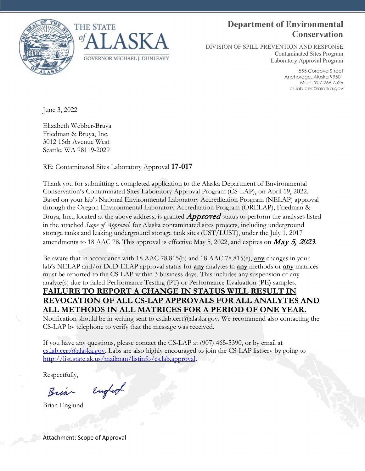



### **Department of Environmental Conservation**

DIVISION OF SPILL PREVENTION AND RESPONSE Contaminated Sites Program Laboratory Approval Program

> 555 Cordova Street Anchorage, Alaska 99501 Main: 907.269.7526 cs.lab.cert@alaska.gov

June 3, 2022

Elizabeth Webber-Bruya Friedman & Bruya, Inc. 3012 16th Avenue West Seattle, WA 98119-2029

RE: Contaminated Sites Laboratory Approval **17-017**

Thank you for submitting a completed application to the Alaska Department of Environmental Conservation's Contaminated Sites Laboratory Approval Program (CS-LAP), on April 19, 2022. Based on your lab's National Environmental Laboratory Accreditation Program (NELAP) approval through the Oregon Environmental Laboratory Accreditation Program (ORELAP), Friedman & Bruya, Inc., located at the above address, is granted  $Approved$  status to perform the analyses listed in the attached *Scope of Approval*, for Alaska contaminated sites projects, including underground storage tanks and leaking underground storage tank sites (UST/LUST), under the July 1, 2017 amendments to 18 AAC 78. This approval is effective May 5, 2022, and expires on  $\dot{May}$  5, 2023.

Be aware that in accordance with 18 AAC 78.815(b) and 18 AAC 78.815(e), **any** changes in your lab's NELAP and/or DoD-ELAP approval status for **any** analytes in **any** methods or **any** matrices must be reported to the CS-LAP within 3 business days. This includes any suspension of any analyte(s) due to failed Performance Testing (PT) or Performance Evaluation (PE) samples. **FAILURE TO REPORT A CHANGE IN STATUS WILL RESULT IN REVOCATION OF ALL CS-LAP APPROVALS FOR ALL ANALYTES AND ALL METHODS IN ALL MATRICES FOR A PERIOD OF ONE YEAR.**

Notification should be in writing sent to cs.lab.cert@alaska.gov. We recommend also contacting the CS-LAP by telephone to verify that the message was received.

If you have any questions, please contact the CS-LAP at (907) 465-5390, or by email at [cs.lab.cert@alaska.gov.](mailto:cs.lab.cert@alaska.gov) Labs are also highly encouraged to join the CS-LAP listserv by going to [http://list.state.ak.us/mailman/listinfo/cs.lab.approval.](http://list.state.ak.us/mailman/listinfo/cs.lab.approval)

Respectfully,

England Bria

Brian Englund

Attachment: Scope of Approval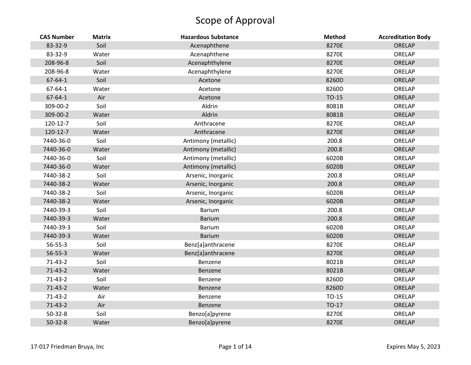| <b>CAS Number</b> | <b>Matrix</b> | <b>Hazardous Substance</b> | <b>Method</b> | <b>Accreditation Body</b> |
|-------------------|---------------|----------------------------|---------------|---------------------------|
| 83-32-9           | Soil          | Acenaphthene               | 8270E         | ORELAP                    |
| 83-32-9           | Water         | Acenaphthene               | 8270E         | ORELAP                    |
| 208-96-8          | Soil          | Acenaphthylene             | 8270E         | ORELAP                    |
| 208-96-8          | Water         | Acenaphthylene             | 8270E         | ORELAP                    |
| 67-64-1           | Soil          | Acetone                    | 8260D         | ORELAP                    |
| 67-64-1           | Water         | Acetone                    | 8260D         | ORELAP                    |
| 67-64-1           | Air           | Acetone                    | TO-15         | ORELAP                    |
| 309-00-2          | Soil          | Aldrin                     | 8081B         | ORELAP                    |
| 309-00-2          | Water         | Aldrin                     | 8081B         | ORELAP                    |
| 120-12-7          | Soil          | Anthracene                 | 8270E         | ORELAP                    |
| 120-12-7          | Water         | Anthracene                 | 8270E         | ORELAP                    |
| 7440-36-0         | Soil          | Antimony (metallic)        | 200.8         | ORELAP                    |
| 7440-36-0         | Water         | Antimony (metallic)        | 200.8         | ORELAP                    |
| 7440-36-0         | Soil          | Antimony (metallic)        | 6020B         | ORELAP                    |
| 7440-36-0         | Water         | Antimony (metallic)        | 6020B         | ORELAP                    |
| 7440-38-2         | Soil          | Arsenic, Inorganic         | 200.8         | ORELAP                    |
| 7440-38-2         | Water         | Arsenic, Inorganic         | 200.8         | ORELAP                    |
| 7440-38-2         | Soil          | Arsenic, Inorganic         | 6020B         | ORELAP                    |
| 7440-38-2         | Water         | Arsenic, Inorganic         | 6020B         | ORELAP                    |
| 7440-39-3         | Soil          | <b>Barium</b>              | 200.8         | ORELAP                    |
| 7440-39-3         | Water         | <b>Barium</b>              | 200.8         | ORELAP                    |
| 7440-39-3         | Soil          | <b>Barium</b>              | 6020B         | ORELAP                    |
| 7440-39-3         | Water         | <b>Barium</b>              | 6020B         | ORELAP                    |
| 56-55-3           | Soil          | Benz[a]anthracene          | 8270E         | ORELAP                    |
| 56-55-3           | Water         | Benz[a]anthracene          | 8270E         | ORELAP                    |
| $71-43-2$         | Soil          | Benzene                    | 8021B         | ORELAP                    |
| $71-43-2$         | Water         | Benzene                    | 8021B         | ORELAP                    |
| $71-43-2$         | Soil          | Benzene                    | 8260D         | ORELAP                    |
| $71-43-2$         | Water         | Benzene                    | 8260D         | ORELAP                    |
| $71 - 43 - 2$     | Air           | Benzene                    | TO-15         | ORELAP                    |
| $71-43-2$         | Air           | Benzene                    | TO-17         | ORELAP                    |
| $50 - 32 - 8$     | Soil          | Benzo[a]pyrene             | 8270E         | ORELAP                    |
| $50 - 32 - 8$     | Water         | Benzo[a]pyrene             | 8270E         | <b>ORELAP</b>             |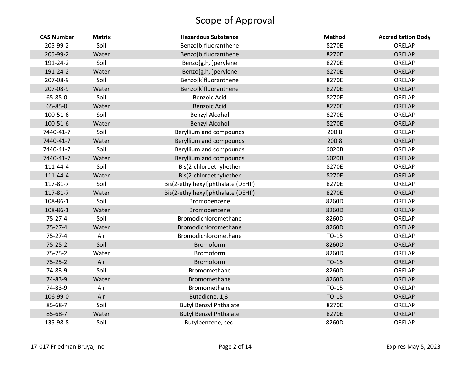| <b>CAS Number</b> | <b>Matrix</b> | <b>Hazardous Substance</b>        | <b>Method</b> | <b>Accreditation Body</b> |
|-------------------|---------------|-----------------------------------|---------------|---------------------------|
| 205-99-2          | Soil          | Benzo[b]fluoranthene              | 8270E         | ORELAP                    |
| 205-99-2          | Water         | Benzo[b]fluoranthene              | 8270E         | ORELAP                    |
| 191-24-2          | Soil          | Benzo[g,h,i]perylene              | 8270E         | ORELAP                    |
| 191-24-2          | Water         | Benzo[g,h,i]perylene              | 8270E         | ORELAP                    |
| 207-08-9          | Soil          | Benzo[k]fluoranthene              | 8270E         | ORELAP                    |
| 207-08-9          | Water         | Benzo[k]fluoranthene              | 8270E         | ORELAP                    |
| 65-85-0           | Soil          | <b>Benzoic Acid</b>               | 8270E         | ORELAP                    |
| 65-85-0           | Water         | <b>Benzoic Acid</b>               | 8270E         | ORELAP                    |
| 100-51-6          | Soil          | <b>Benzyl Alcohol</b>             | 8270E         | ORELAP                    |
| 100-51-6          | Water         | <b>Benzyl Alcohol</b>             | 8270E         | ORELAP                    |
| 7440-41-7         | Soil          | Beryllium and compounds           | 200.8         | ORELAP                    |
| 7440-41-7         | Water         | Beryllium and compounds           | 200.8         | ORELAP                    |
| 7440-41-7         | Soil          | Beryllium and compounds           | 6020B         | ORELAP                    |
| 7440-41-7         | Water         | Beryllium and compounds           | 6020B         | ORELAP                    |
| 111-44-4          | Soil          | Bis(2-chloroethyl)ether           | 8270E         | ORELAP                    |
| 111-44-4          | Water         | Bis(2-chloroethyl)ether           | 8270E         | ORELAP                    |
| 117-81-7          | Soil          | Bis(2-ethylhexyl)phthalate (DEHP) | 8270E         | ORELAP                    |
| 117-81-7          | Water         | Bis(2-ethylhexyl)phthalate (DEHP) | 8270E         | ORELAP                    |
| 108-86-1          | Soil          | Bromobenzene                      | 8260D         | ORELAP                    |
| 108-86-1          | Water         | Bromobenzene                      | 8260D         | ORELAP                    |
| $75 - 27 - 4$     | Soil          | Bromodichloromethane              | 8260D         | ORELAP                    |
| $75 - 27 - 4$     | Water         | Bromodichloromethane              | 8260D         | ORELAP                    |
| $75 - 27 - 4$     | Air           | Bromodichloromethane              | $TO-15$       | ORELAP                    |
| $75 - 25 - 2$     | Soil          | Bromoform                         | 8260D         | ORELAP                    |
| $75 - 25 - 2$     | Water         | Bromoform                         | 8260D         | ORELAP                    |
| $75 - 25 - 2$     | Air           | Bromoform                         | TO-15         | ORELAP                    |
| 74-83-9           | Soil          | Bromomethane                      | 8260D         | ORELAP                    |
| 74-83-9           | Water         | Bromomethane                      | 8260D         | ORELAP                    |
| 74-83-9           | Air           | Bromomethane                      | TO-15         | ORELAP                    |
| 106-99-0          | Air           | Butadiene, 1,3-                   | TO-15         | ORELAP                    |
| 85-68-7           | Soil          | <b>Butyl Benzyl Phthalate</b>     | 8270E         | ORELAP                    |
| 85-68-7           | Water         | <b>Butyl Benzyl Phthalate</b>     | 8270E         | ORELAP                    |
| 135-98-8          | Soil          | Butylbenzene, sec-                | 8260D         | ORELAP                    |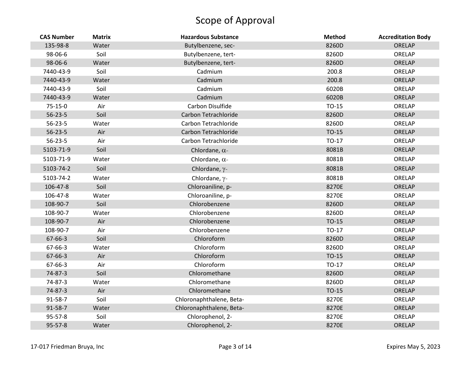| <b>CAS Number</b> | <b>Matrix</b> | <b>Hazardous Substance</b> | <b>Method</b> | <b>Accreditation Body</b> |
|-------------------|---------------|----------------------------|---------------|---------------------------|
| 135-98-8          | Water         | Butylbenzene, sec-         | 8260D         | ORELAP                    |
| 98-06-6           | Soil          | Butylbenzene, tert-        | 8260D         | ORELAP                    |
| 98-06-6           | Water         | Butylbenzene, tert-        | 8260D         | ORELAP                    |
| 7440-43-9         | Soil          | Cadmium                    | 200.8         | ORELAP                    |
| 7440-43-9         | Water         | Cadmium                    | 200.8         | ORELAP                    |
| 7440-43-9         | Soil          | Cadmium                    | 6020B         | ORELAP                    |
| 7440-43-9         | Water         | Cadmium                    | 6020B         | ORELAP                    |
| 75-15-0           | Air           | Carbon Disulfide           | TO-15         | ORELAP                    |
| $56 - 23 - 5$     | Soil          | Carbon Tetrachloride       | 8260D         | ORELAP                    |
| $56 - 23 - 5$     | Water         | Carbon Tetrachloride       | 8260D         | ORELAP                    |
| $56 - 23 - 5$     | Air           | Carbon Tetrachloride       | TO-15         | ORELAP                    |
| $56 - 23 - 5$     | Air           | Carbon Tetrachloride       | TO-17         | ORELAP                    |
| 5103-71-9         | Soil          | Chlordane, $\alpha$ -      | 8081B         | ORELAP                    |
| 5103-71-9         | Water         | Chlordane, $\alpha$ -      | 8081B         | ORELAP                    |
| 5103-74-2         | Soil          | Chlordane, γ-              | 8081B         | ORELAP                    |
| 5103-74-2         | Water         | Chlordane, $\gamma$ -      | 8081B         | ORELAP                    |
| 106-47-8          | Soil          | Chloroaniline, p-          | 8270E         | ORELAP                    |
| 106-47-8          | Water         | Chloroaniline, p-          | 8270E         | ORELAP                    |
| 108-90-7          | Soil          | Chlorobenzene              | 8260D         | ORELAP                    |
| 108-90-7          | Water         | Chlorobenzene              | 8260D         | ORELAP                    |
| 108-90-7          | Air           | Chlorobenzene              | TO-15         | ORELAP                    |
| 108-90-7          | Air           | Chlorobenzene              | TO-17         | ORELAP                    |
| 67-66-3           | Soil          | Chloroform                 | 8260D         | ORELAP                    |
| 67-66-3           | Water         | Chloroform                 | 8260D         | ORELAP                    |
| 67-66-3           | Air           | Chloroform                 | TO-15         | ORELAP                    |
| 67-66-3           | Air           | Chloroform                 | TO-17         | ORELAP                    |
| 74-87-3           | Soil          | Chloromethane              | 8260D         | ORELAP                    |
| 74-87-3           | Water         | Chloromethane              | 8260D         | ORELAP                    |
| 74-87-3           | Air           | Chloromethane              | TO-15         | ORELAP                    |
| 91-58-7           | Soil          | Chloronaphthalene, Beta-   | 8270E         | ORELAP                    |
| 91-58-7           | Water         | Chloronaphthalene, Beta-   | 8270E         | ORELAP                    |
| 95-57-8           | Soil          | Chlorophenol, 2-           | 8270E         | ORELAP                    |
| 95-57-8           | Water         | Chlorophenol, 2-           | 8270E         | ORELAP                    |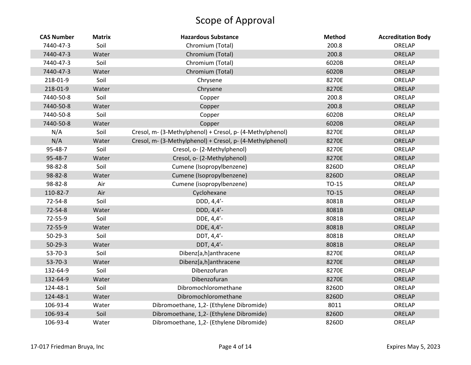| <b>CAS Number</b> | <b>Matrix</b> | <b>Hazardous Substance</b>                                | <b>Method</b> | <b>Accreditation Body</b> |
|-------------------|---------------|-----------------------------------------------------------|---------------|---------------------------|
| 7440-47-3         | Soil          | Chromium (Total)                                          | 200.8         | ORELAP                    |
| 7440-47-3         | Water         | Chromium (Total)                                          | 200.8         | ORELAP                    |
| 7440-47-3         | Soil          | Chromium (Total)                                          | 6020B         | ORELAP                    |
| 7440-47-3         | Water         | Chromium (Total)                                          | 6020B         | ORELAP                    |
| 218-01-9          | Soil          | Chrysene                                                  | 8270E         | ORELAP                    |
| 218-01-9          | Water         | Chrysene                                                  | 8270E         | ORELAP                    |
| 7440-50-8         | Soil          | Copper                                                    | 200.8         | ORELAP                    |
| 7440-50-8         | Water         | Copper                                                    | 200.8         | ORELAP                    |
| 7440-50-8         | Soil          | Copper                                                    | 6020B         | ORELAP                    |
| 7440-50-8         | Water         | Copper                                                    | 6020B         | ORELAP                    |
| N/A               | Soil          | Cresol, m- (3-Methylphenol) + Cresol, p- (4-Methylphenol) | 8270E         | ORELAP                    |
| N/A               | Water         | Cresol, m- (3-Methylphenol) + Cresol, p- (4-Methylphenol) | 8270E         | ORELAP                    |
| 95-48-7           | Soil          | Cresol, o- (2-Methylphenol)                               | 8270E         | ORELAP                    |
| 95-48-7           | Water         | Cresol, o- (2-Methylphenol)                               | 8270E         | ORELAP                    |
| 98-82-8           | Soil          | Cumene (Isopropylbenzene)                                 | 8260D         | ORELAP                    |
| 98-82-8           | Water         | Cumene (Isopropylbenzene)                                 | 8260D         | ORELAP                    |
| 98-82-8           | Air           | Cumene (isopropylbenzene)                                 | TO-15         | ORELAP                    |
| 110-82-7          | Air           | Cyclohexane                                               | $TO-15$       | ORELAP                    |
| 72-54-8           | Soil          | DDD, 4,4'-                                                | 8081B         | ORELAP                    |
| 72-54-8           | Water         | DDD, 4,4'-                                                | 8081B         | ORELAP                    |
| 72-55-9           | Soil          | DDE, 4,4'-                                                | 8081B         | ORELAP                    |
| 72-55-9           | Water         | DDE, 4,4'-                                                | 8081B         | ORELAP                    |
| $50-29-3$         | Soil          | DDT, 4,4'-                                                | 8081B         | ORELAP                    |
| $50-29-3$         | Water         | DDT, 4,4'-                                                | 8081B         | ORELAP                    |
| $53 - 70 - 3$     | Soil          | Dibenz[a,h]anthracene                                     | 8270E         | ORELAP                    |
| $53 - 70 - 3$     | Water         | Dibenz[a,h]anthracene                                     | 8270E         | ORELAP                    |
| 132-64-9          | Soil          | Dibenzofuran                                              | 8270E         | ORELAP                    |
| 132-64-9          | Water         | Dibenzofuran                                              | 8270E         | ORELAP                    |
| 124-48-1          | Soil          | Dibromochloromethane                                      | 8260D         | ORELAP                    |
| 124-48-1          | Water         | Dibromochloromethane                                      | 8260D         | ORELAP                    |
| 106-93-4          | Water         | Dibromoethane, 1,2- (Ethylene Dibromide)                  | 8011          | ORELAP                    |
| 106-93-4          | Soil          | Dibromoethane, 1,2- (Ethylene Dibromide)                  | 8260D         | ORELAP                    |
| 106-93-4          | Water         | Dibromoethane, 1,2- (Ethylene Dibromide)                  | 8260D         | ORELAP                    |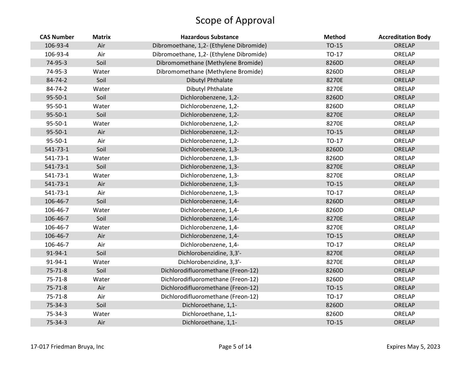| <b>CAS Number</b> | <b>Matrix</b> | <b>Hazardous Substance</b>               | <b>Method</b> | <b>Accreditation Body</b> |
|-------------------|---------------|------------------------------------------|---------------|---------------------------|
| 106-93-4          | Air           | Dibromoethane, 1,2- (Ethylene Dibromide) | TO-15         | ORELAP                    |
| 106-93-4          | Air           | Dibromoethane, 1,2- (Ethylene Dibromide) | $TO-17$       | ORELAP                    |
| 74-95-3           | Soil          | Dibromomethane (Methylene Bromide)       | 8260D         | ORELAP                    |
| 74-95-3           | Water         | Dibromomethane (Methylene Bromide)       | 8260D         | ORELAP                    |
| 84-74-2           | Soil          | <b>Dibutyl Phthalate</b>                 | 8270E         | ORELAP                    |
| 84-74-2           | Water         | Dibutyl Phthalate                        | 8270E         | ORELAP                    |
| 95-50-1           | Soil          | Dichlorobenzene, 1,2-                    | 8260D         | ORELAP                    |
| 95-50-1           | Water         | Dichlorobenzene, 1,2-                    | 8260D         | ORELAP                    |
| 95-50-1           | Soil          | Dichlorobenzene, 1,2-                    | 8270E         | ORELAP                    |
| 95-50-1           | Water         | Dichlorobenzene, 1,2-                    | 8270E         | ORELAP                    |
| 95-50-1           | Air           | Dichlorobenzene, 1,2-                    | $TO-15$       | ORELAP                    |
| 95-50-1           | Air           | Dichlorobenzene, 1,2-                    | TO-17         | ORELAP                    |
| $541 - 73 - 1$    | Soil          | Dichlorobenzene, 1,3-                    | 8260D         | ORELAP                    |
| 541-73-1          | Water         | Dichlorobenzene, 1,3-                    | 8260D         | ORELAP                    |
| 541-73-1          | Soil          | Dichlorobenzene, 1,3-                    | 8270E         | ORELAP                    |
| 541-73-1          | Water         | Dichlorobenzene, 1,3-                    | 8270E         | ORELAP                    |
| $541 - 73 - 1$    | Air           | Dichlorobenzene, 1,3-                    | $TO-15$       | ORELAP                    |
| 541-73-1          | Air           | Dichlorobenzene, 1,3-                    | TO-17         | ORELAP                    |
| 106-46-7          | Soil          | Dichlorobenzene, 1,4-                    | 8260D         | ORELAP                    |
| 106-46-7          | Water         | Dichlorobenzene, 1,4-                    | 8260D         | ORELAP                    |
| 106-46-7          | Soil          | Dichlorobenzene, 1,4-                    | 8270E         | ORELAP                    |
| 106-46-7          | Water         | Dichlorobenzene, 1,4-                    | 8270E         | ORELAP                    |
| 106-46-7          | Air           | Dichlorobenzene, 1,4-                    | $TO-15$       | ORELAP                    |
| 106-46-7          | Air           | Dichlorobenzene, 1,4-                    | TO-17         | ORELAP                    |
| 91-94-1           | Soil          | Dichlorobenzidine, 3,3'-                 | 8270E         | ORELAP                    |
| 91-94-1           | Water         | Dichlorobenzidine, 3,3'-                 | 8270E         | ORELAP                    |
| 75-71-8           | Soil          | Dichlorodifluoromethane (Freon-12)       | 8260D         | ORELAP                    |
| $75 - 71 - 8$     | Water         | Dichlorodifluoromethane (Freon-12)       | 8260D         | ORELAP                    |
| 75-71-8           | Air           | Dichlorodifluoromethane (Freon-12)       | TO-15         | ORELAP                    |
| $75 - 71 - 8$     | Air           | Dichlorodifluoromethane (Freon-12)       | TO-17         | ORELAP                    |
| 75-34-3           | Soil          | Dichloroethane, 1,1-                     | 8260D         | ORELAP                    |
| 75-34-3           | Water         | Dichloroethane, 1,1-                     | 8260D         | ORELAP                    |
| 75-34-3           | Air           | Dichloroethane, 1,1-                     | TO-15         | ORELAP                    |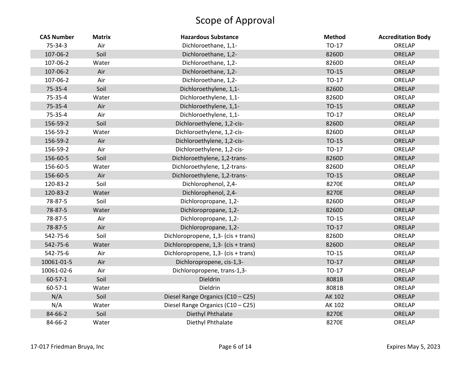| <b>CAS Number</b> | <b>Matrix</b> | <b>Hazardous Substance</b>          | <b>Method</b> | <b>Accreditation Body</b> |
|-------------------|---------------|-------------------------------------|---------------|---------------------------|
| 75-34-3           | Air           | Dichloroethane, 1,1-                | TO-17         | ORELAP                    |
| 107-06-2          | Soil          | Dichloroethane, 1,2-                | 8260D         | ORELAP                    |
| 107-06-2          | Water         | Dichloroethane, 1,2-                | 8260D         | ORELAP                    |
| 107-06-2          | Air           | Dichloroethane, 1,2-                | TO-15         | ORELAP                    |
| 107-06-2          | Air           | Dichloroethane, 1,2-                | TO-17         | ORELAP                    |
| 75-35-4           | Soil          | Dichloroethylene, 1,1-              | 8260D         | ORELAP                    |
| 75-35-4           | Water         | Dichloroethylene, 1,1-              | 8260D         | ORELAP                    |
| 75-35-4           | Air           | Dichloroethylene, 1,1-              | TO-15         | ORELAP                    |
| 75-35-4           | Air           | Dichloroethylene, 1,1-              | TO-17         | ORELAP                    |
| 156-59-2          | Soil          | Dichloroethylene, 1,2-cis-          | 8260D         | ORELAP                    |
| 156-59-2          | Water         | Dichloroethylene, 1,2-cis-          | 8260D         | ORELAP                    |
| 156-59-2          | Air           | Dichloroethylene, 1,2-cis-          | TO-15         | ORELAP                    |
| 156-59-2          | Air           | Dichloroethylene, 1,2-cis-          | TO-17         | ORELAP                    |
| 156-60-5          | Soil          | Dichloroethylene, 1,2-trans-        | 8260D         | ORELAP                    |
| 156-60-5          | Water         | Dichloroethylene, 1,2-trans-        | 8260D         | ORELAP                    |
| 156-60-5          | Air           | Dichloroethylene, 1,2-trans-        | TO-15         | ORELAP                    |
| 120-83-2          | Soil          | Dichlorophenol, 2,4-                | 8270E         | ORELAP                    |
| 120-83-2          | Water         | Dichlorophenol, 2,4-                | 8270E         | ORELAP                    |
| 78-87-5           | Soil          | Dichloropropane, 1,2-               | 8260D         | ORELAP                    |
| 78-87-5           | Water         | Dichloropropane, 1,2-               | 8260D         | ORELAP                    |
| 78-87-5           | Air           | Dichloropropane, 1,2-               | TO-15         | ORELAP                    |
| 78-87-5           | Air           | Dichloropropane, 1,2-               | TO-17         | ORELAP                    |
| 542-75-6          | Soil          | Dichloropropene, 1,3- (cis + trans) | 8260D         | ORELAP                    |
| 542-75-6          | Water         | Dichloropropene, 1,3- (cis + trans) | 8260D         | ORELAP                    |
| 542-75-6          | Air           | Dichloropropene, 1,3- (cis + trans) | $TO-15$       | ORELAP                    |
| 10061-01-5        | Air           | Dichloropropene, cis-1,3-           | TO-17         | ORELAP                    |
| 10061-02-6        | Air           | Dichloropropene, trans-1,3-         | $TO-17$       | ORELAP                    |
| $60 - 57 - 1$     | Soil          | <b>Dieldrin</b>                     | 8081B         | ORELAP                    |
| $60 - 57 - 1$     | Water         | Dieldrin                            | 8081B         | ORELAP                    |
| N/A               | Soil          | Diesel Range Organics (C10 - C25)   | AK 102        | ORELAP                    |
| N/A               | Water         | Diesel Range Organics (C10 - C25)   | AK 102        | ORELAP                    |
| 84-66-2           | Soil          | Diethyl Phthalate                   | 8270E         | ORELAP                    |
| 84-66-2           | Water         | Diethyl Phthalate                   | 8270E         | ORELAP                    |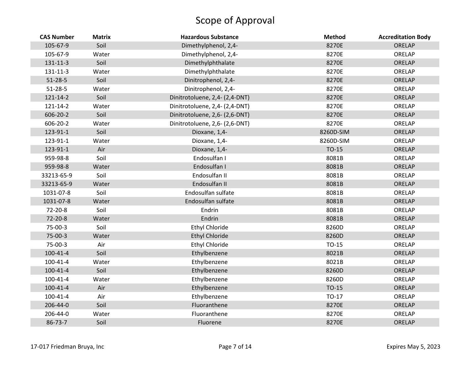| <b>CAS Number</b> | <b>Matrix</b> | <b>Hazardous Substance</b>     | <b>Method</b> | <b>Accreditation Body</b> |
|-------------------|---------------|--------------------------------|---------------|---------------------------|
| 105-67-9          | Soil          | Dimethylphenol, 2,4-           | 8270E         | ORELAP                    |
| 105-67-9          | Water         | Dimethylphenol, 2,4-           | 8270E         | ORELAP                    |
| 131-11-3          | Soil          | Dimethylphthalate              | 8270E         | ORELAP                    |
| 131-11-3          | Water         | Dimethylphthalate              | 8270E         | ORELAP                    |
| $51 - 28 - 5$     | Soil          | Dinitrophenol, 2,4-            | 8270E         | ORELAP                    |
| $51 - 28 - 5$     | Water         | Dinitrophenol, 2,4-            | 8270E         | ORELAP                    |
| 121-14-2          | Soil          | Dinitrotoluene, 2,4- (2,4-DNT) | 8270E         | ORELAP                    |
| 121-14-2          | Water         | Dinitrotoluene, 2,4- (2,4-DNT) | 8270E         | ORELAP                    |
| 606-20-2          | Soil          | Dinitrotoluene, 2,6- (2,6-DNT) | 8270E         | ORELAP                    |
| 606-20-2          | Water         | Dinitrotoluene, 2,6- (2,6-DNT) | 8270E         | ORELAP                    |
| 123-91-1          | Soil          | Dioxane, 1,4-                  | 8260D-SIM     | ORELAP                    |
| 123-91-1          | Water         | Dioxane, 1,4-                  | 8260D-SIM     | ORELAP                    |
| 123-91-1          | Air           | Dioxane, 1,4-                  | TO-15         | ORELAP                    |
| 959-98-8          | Soil          | Endosulfan I                   | 8081B         | ORELAP                    |
| 959-98-8          | Water         | Endosulfan I                   | 8081B         | ORELAP                    |
| 33213-65-9        | Soil          | Endosulfan II                  | 8081B         | ORELAP                    |
| 33213-65-9        | Water         | Endosulfan II                  | 8081B         | ORELAP                    |
| 1031-07-8         | Soil          | Endosulfan sulfate             | 8081B         | ORELAP                    |
| 1031-07-8         | Water         | Endosulfan sulfate             | 8081B         | ORELAP                    |
| 72-20-8           | Soil          | Endrin                         | 8081B         | ORELAP                    |
| 72-20-8           | Water         | Endrin                         | 8081B         | ORELAP                    |
| 75-00-3           | Soil          | Ethyl Chloride                 | 8260D         | ORELAP                    |
| 75-00-3           | Water         | <b>Ethyl Chloride</b>          | 8260D         | ORELAP                    |
| 75-00-3           | Air           | Ethyl Chloride                 | TO-15         | ORELAP                    |
| $100 - 41 - 4$    | Soil          | Ethylbenzene                   | 8021B         | ORELAP                    |
| $100 - 41 - 4$    | Water         | Ethylbenzene                   | 8021B         | ORELAP                    |
| $100 - 41 - 4$    | Soil          | Ethylbenzene                   | 8260D         | ORELAP                    |
| $100 - 41 - 4$    | Water         | Ethylbenzene                   | 8260D         | ORELAP                    |
| $100 - 41 - 4$    | Air           | Ethylbenzene                   | TO-15         | ORELAP                    |
| $100 - 41 - 4$    | Air           | Ethylbenzene                   | TO-17         | ORELAP                    |
| 206-44-0          | Soil          | Fluoranthene                   | 8270E         | ORELAP                    |
| 206-44-0          | Water         | Fluoranthene                   | 8270E         | ORELAP                    |
| 86-73-7           | Soil          | Fluorene                       | 8270E         | ORELAP                    |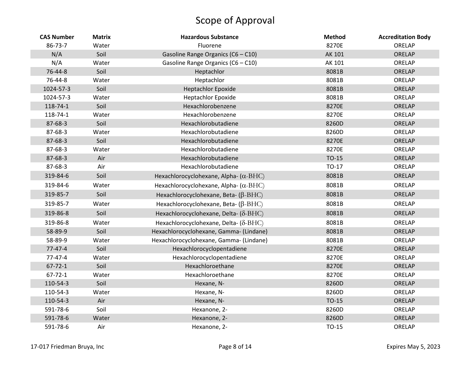| <b>CAS Number</b> | <b>Matrix</b> | <b>Hazardous Substance</b>                    | <b>Method</b> | <b>Accreditation Body</b> |
|-------------------|---------------|-----------------------------------------------|---------------|---------------------------|
| 86-73-7           | Water         | Fluorene                                      | 8270E         | ORELAP                    |
| N/A               | Soil          | Gasoline Range Organics (C6 - C10)            | AK 101        | ORELAP                    |
| N/A               | Water         | Gasoline Range Organics (C6 - C10)            | AK 101        | ORELAP                    |
| 76-44-8           | Soil          | Heptachlor                                    | 8081B         | ORELAP                    |
| 76-44-8           | Water         | Heptachlor                                    | 8081B         | ORELAP                    |
| 1024-57-3         | Soil          | <b>Heptachlor Epoxide</b>                     | 8081B         | ORELAP                    |
| 1024-57-3         | Water         | <b>Heptachlor Epoxide</b>                     | 8081B         | ORELAP                    |
| 118-74-1          | Soil          | Hexachlorobenzene                             | 8270E         | ORELAP                    |
| 118-74-1          | Water         | Hexachlorobenzene                             | 8270E         | ORELAP                    |
| 87-68-3           | Soil          | Hexachlorobutadiene                           | 8260D         | ORELAP                    |
| 87-68-3           | Water         | Hexachlorobutadiene                           | 8260D         | ORELAP                    |
| 87-68-3           | Soil          | Hexachlorobutadiene                           | 8270E         | ORELAP                    |
| 87-68-3           | Water         | Hexachlorobutadiene                           | 8270E         | ORELAP                    |
| 87-68-3           | Air           | Hexachlorobutadiene                           | TO-15         | ORELAP                    |
| 87-68-3           | Air           | Hexachlorobutadiene                           | TO-17         | ORELAP                    |
| 319-84-6          | Soil          | Hexachlorocyclohexane, Alpha- $(\alpha$ -BHC) | 8081B         | ORELAP                    |
| 319-84-6          | Water         | Hexachlorocyclohexane, Alpha- $(\alpha$ -BHC) | 8081B         | ORELAP                    |
| 319-85-7          | Soil          | Hexachlorocyclohexane, Beta- $(\beta$ -BHC)   | 8081B         | ORELAP                    |
| 319-85-7          | Water         | Hexachlorocyclohexane, Beta- $(\beta$ -BHC)   | 8081B         | ORELAP                    |
| 319-86-8          | Soil          | Hexachlorocyclohexane, Delta- (δ-BHC)         | 8081B         | ORELAP                    |
| 319-86-8          | Water         | Hexachlorocyclohexane, Delta- (δ-BHC)         | 8081B         | ORELAP                    |
| 58-89-9           | Soil          | Hexachlorocyclohexane, Gamma- (Lindane)       | 8081B         | ORELAP                    |
| 58-89-9           | Water         | Hexachlorocyclohexane, Gamma- (Lindane)       | 8081B         | ORELAP                    |
| $77 - 47 - 4$     | Soil          | Hexachlorocyclopentadiene                     | 8270E         | ORELAP                    |
| $77 - 47 - 4$     | Water         | Hexachlorocyclopentadiene                     | 8270E         | ORELAP                    |
| $67 - 72 - 1$     | Soil          | Hexachloroethane                              | 8270E         | ORELAP                    |
| $67 - 72 - 1$     | Water         | Hexachloroethane                              | 8270E         | ORELAP                    |
| 110-54-3          | Soil          | Hexane, N-                                    | 8260D         | ORELAP                    |
| 110-54-3          | Water         | Hexane, N-                                    | 8260D         | ORELAP                    |
| 110-54-3          | Air           | Hexane, N-                                    | TO-15         | ORELAP                    |
| 591-78-6          | Soil          | Hexanone, 2-                                  | 8260D         | ORELAP                    |
| 591-78-6          | Water         | Hexanone, 2-                                  | 8260D         | ORELAP                    |
| 591-78-6          | Air           | Hexanone, 2-                                  | TO-15         | ORELAP                    |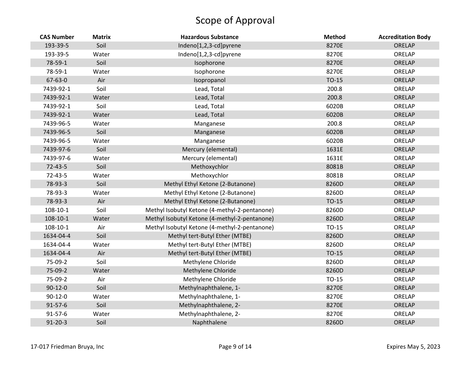| <b>CAS Number</b> | <b>Matrix</b> | <b>Hazardous Substance</b>                    | <b>Method</b> | <b>Accreditation Body</b> |
|-------------------|---------------|-----------------------------------------------|---------------|---------------------------|
| 193-39-5          | Soil          | Indeno[1,2,3-cd]pyrene                        | 8270E         | ORELAP                    |
| 193-39-5          | Water         | Indeno[1,2,3-cd]pyrene                        | 8270E         | ORELAP                    |
| 78-59-1           | Soil          | Isophorone                                    | 8270E         | <b>ORELAP</b>             |
| 78-59-1           | Water         | Isophorone                                    | 8270E         | ORELAP                    |
| 67-63-0           | Air           | Isopropanol                                   | TO-15         | ORELAP                    |
| 7439-92-1         | Soil          | Lead, Total                                   | 200.8         | ORELAP                    |
| 7439-92-1         | Water         | Lead, Total                                   | 200.8         | ORELAP                    |
| 7439-92-1         | Soil          | Lead, Total                                   | 6020B         | ORELAP                    |
| 7439-92-1         | Water         | Lead, Total                                   | 6020B         | ORELAP                    |
| 7439-96-5         | Water         | Manganese                                     | 200.8         | ORELAP                    |
| 7439-96-5         | Soil          | Manganese                                     | 6020B         | ORELAP                    |
| 7439-96-5         | Water         | Manganese                                     | 6020B         | ORELAP                    |
| 7439-97-6         | Soil          | Mercury (elemental)                           | 1631E         | <b>ORELAP</b>             |
| 7439-97-6         | Water         | Mercury (elemental)                           | 1631E         | ORELAP                    |
| $72 - 43 - 5$     | Soil          | Methoxychlor                                  | 8081B         | ORELAP                    |
| $72 - 43 - 5$     | Water         | Methoxychlor                                  | 8081B         | ORELAP                    |
| 78-93-3           | Soil          | Methyl Ethyl Ketone (2-Butanone)              | 8260D         | ORELAP                    |
| 78-93-3           | Water         | Methyl Ethyl Ketone (2-Butanone)              | 8260D         | ORELAP                    |
| 78-93-3           | Air           | Methyl Ethyl Ketone (2-Butanone)              | TO-15         | ORELAP                    |
| 108-10-1          | Soil          | Methyl Isobutyl Ketone (4-methyl-2-pentanone) | 8260D         | ORELAP                    |
| $108 - 10 - 1$    | Water         | Methyl Isobutyl Ketone (4-methyl-2-pentanone) | 8260D         | ORELAP                    |
| 108-10-1          | Air           | Methyl Isobutyl Ketone (4-methyl-2-pentanone) | TO-15         | ORELAP                    |
| 1634-04-4         | Soil          | Methyl tert-Butyl Ether (MTBE)                | 8260D         | ORELAP                    |
| 1634-04-4         | Water         | Methyl tert-Butyl Ether (MTBE)                | 8260D         | ORELAP                    |
| 1634-04-4         | Air           | Methyl tert-Butyl Ether (MTBE)                | TO-15         | ORELAP                    |
| 75-09-2           | Soil          | Methylene Chloride                            | 8260D         | ORELAP                    |
| 75-09-2           | Water         | Methylene Chloride                            | 8260D         | ORELAP                    |
| 75-09-2           | Air           | Methylene Chloride                            | TO-15         | ORELAP                    |
| $90-12-0$         | Soil          | Methylnaphthalene, 1-                         | 8270E         | ORELAP                    |
| $90 - 12 - 0$     | Water         | Methylnaphthalene, 1-                         | 8270E         | ORELAP                    |
| $91 - 57 - 6$     | Soil          | Methylnaphthalene, 2-                         | 8270E         | ORELAP                    |
| 91-57-6           | Water         | Methylnaphthalene, 2-                         | 8270E         | ORELAP                    |
| $91 - 20 - 3$     | Soil          | Naphthalene                                   | 8260D         | ORELAP                    |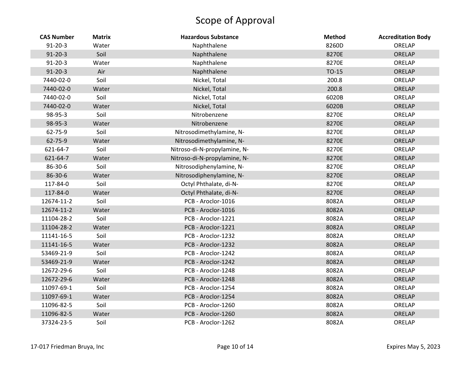| <b>CAS Number</b> | <b>Matrix</b> | <b>Hazardous Substance</b>   | <b>Method</b> | <b>Accreditation Body</b> |
|-------------------|---------------|------------------------------|---------------|---------------------------|
| $91 - 20 - 3$     | Water         | Naphthalene                  | 8260D         | ORELAP                    |
| $91 - 20 - 3$     | Soil          | Naphthalene                  | 8270E         | ORELAP                    |
| $91 - 20 - 3$     | Water         | Naphthalene                  | 8270E         | ORELAP                    |
| $91 - 20 - 3$     | Air           | Naphthalene                  | TO-15         | ORELAP                    |
| 7440-02-0         | Soil          | Nickel, Total                | 200.8         | ORELAP                    |
| 7440-02-0         | Water         | Nickel, Total                | 200.8         | ORELAP                    |
| 7440-02-0         | Soil          | Nickel, Total                | 6020B         | ORELAP                    |
| 7440-02-0         | Water         | Nickel, Total                | 6020B         | ORELAP                    |
| 98-95-3           | Soil          | Nitrobenzene                 | 8270E         | ORELAP                    |
| 98-95-3           | Water         | Nitrobenzene                 | 8270E         | ORELAP                    |
| 62-75-9           | Soil          | Nitrosodimethylamine, N-     | 8270E         | ORELAP                    |
| 62-75-9           | Water         | Nitrosodimethylamine, N-     | 8270E         | ORELAP                    |
| 621-64-7          | Soil          | Nitroso-di-N-propylamine, N- | 8270E         | ORELAP                    |
| 621-64-7          | Water         | Nitroso-di-N-propylamine, N- | 8270E         | ORELAP                    |
| 86-30-6           | Soil          | Nitrosodiphenylamine, N-     | 8270E         | ORELAP                    |
| 86-30-6           | Water         | Nitrosodiphenylamine, N-     | 8270E         | ORELAP                    |
| 117-84-0          | Soil          | Octyl Phthalate, di-N-       | 8270E         | ORELAP                    |
| 117-84-0          | Water         | Octyl Phthalate, di-N-       | 8270E         | ORELAP                    |
| 12674-11-2        | Soil          | PCB - Aroclor-1016           | 8082A         | ORELAP                    |
| 12674-11-2        | Water         | PCB - Aroclor-1016           | 8082A         | ORELAP                    |
| 11104-28-2        | Soil          | PCB - Aroclor-1221           | 8082A         | ORELAP                    |
| 11104-28-2        | Water         | PCB - Aroclor-1221           | 8082A         | ORELAP                    |
| 11141-16-5        | Soil          | PCB - Aroclor-1232           | 8082A         | ORELAP                    |
| 11141-16-5        | Water         | PCB - Aroclor-1232           | 8082A         | ORELAP                    |
| 53469-21-9        | Soil          | PCB - Aroclor-1242           | 8082A         | ORELAP                    |
| 53469-21-9        | Water         | PCB - Aroclor-1242           | 8082A         | ORELAP                    |
| 12672-29-6        | Soil          | PCB - Aroclor-1248           | 8082A         | ORELAP                    |
| 12672-29-6        | Water         | PCB - Aroclor-1248           | 8082A         | ORELAP                    |
| 11097-69-1        | Soil          | PCB - Aroclor-1254           | 8082A         | ORELAP                    |
| 11097-69-1        | Water         | PCB - Aroclor-1254           | 8082A         | ORELAP                    |
| 11096-82-5        | Soil          | PCB - Aroclor-1260           | 8082A         | ORELAP                    |
| 11096-82-5        | Water         | PCB - Aroclor-1260           | 8082A         | ORELAP                    |
| 37324-23-5        | Soil          | PCB - Aroclor-1262           | 8082A         | ORELAP                    |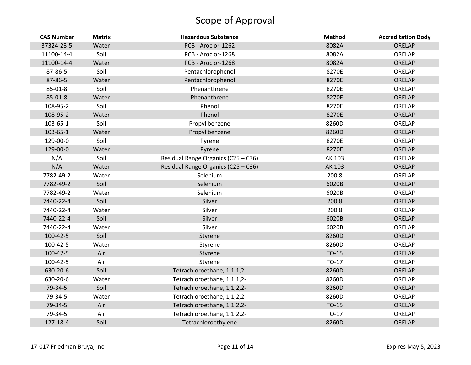| <b>CAS Number</b> | <b>Matrix</b> | <b>Hazardous Substance</b>          | <b>Method</b> | <b>Accreditation Body</b> |
|-------------------|---------------|-------------------------------------|---------------|---------------------------|
| 37324-23-5        | Water         | PCB - Aroclor-1262                  | 8082A         | ORELAP                    |
| 11100-14-4        | Soil          | PCB - Aroclor-1268                  | 8082A         | ORELAP                    |
| 11100-14-4        | Water         | PCB - Aroclor-1268                  | 8082A         | ORELAP                    |
| 87-86-5           | Soil          | Pentachlorophenol                   | 8270E         | ORELAP                    |
| 87-86-5           | Water         | Pentachlorophenol                   | 8270E         | ORELAP                    |
| 85-01-8           | Soil          | Phenanthrene                        | 8270E         | ORELAP                    |
| 85-01-8           | Water         | Phenanthrene                        | 8270E         | ORELAP                    |
| 108-95-2          | Soil          | Phenol                              | 8270E         | ORELAP                    |
| 108-95-2          | Water         | Phenol                              | 8270E         | ORELAP                    |
| 103-65-1          | Soil          | Propyl benzene                      | 8260D         | ORELAP                    |
| 103-65-1          | Water         | Propyl benzene                      | 8260D         | ORELAP                    |
| 129-00-0          | Soil          | Pyrene                              | 8270E         | ORELAP                    |
| 129-00-0          | Water         | Pyrene                              | 8270E         | ORELAP                    |
| N/A               | Soil          | Residual Range Organics (C25 - C36) | AK 103        | ORELAP                    |
| N/A               | Water         | Residual Range Organics (C25 - C36) | AK 103        | <b>ORELAP</b>             |
| 7782-49-2         | Water         | Selenium                            | 200.8         | ORELAP                    |
| 7782-49-2         | Soil          | Selenium                            | 6020B         | ORELAP                    |
| 7782-49-2         | Water         | Selenium                            | 6020B         | ORELAP                    |
| 7440-22-4         | Soil          | Silver                              | 200.8         | ORELAP                    |
| 7440-22-4         | Water         | Silver                              | 200.8         | ORELAP                    |
| 7440-22-4         | Soil          | Silver                              | 6020B         | ORELAP                    |
| 7440-22-4         | Water         | Silver                              | 6020B         | ORELAP                    |
| 100-42-5          | Soil          | Styrene                             | 8260D         | ORELAP                    |
| 100-42-5          | Water         | Styrene                             | 8260D         | ORELAP                    |
| 100-42-5          | Air           | Styrene                             | $TO-15$       | ORELAP                    |
| 100-42-5          | Air           | Styrene                             | TO-17         | ORELAP                    |
| 630-20-6          | Soil          | Tetrachloroethane, 1,1,1,2-         | 8260D         | ORELAP                    |
| 630-20-6          | Water         | Tetrachloroethane, 1,1,1,2-         | 8260D         | ORELAP                    |
| 79-34-5           | Soil          | Tetrachloroethane, 1,1,2,2-         | 8260D         | ORELAP                    |
| 79-34-5           | Water         | Tetrachloroethane, 1,1,2,2-         | 8260D         | ORELAP                    |
| 79-34-5           | Air           | Tetrachloroethane, 1,1,2,2-         | TO-15         | ORELAP                    |
| 79-34-5           | Air           | Tetrachloroethane, 1,1,2,2-         | TO-17         | ORELAP                    |
| 127-18-4          | Soil          | Tetrachloroethylene                 | 8260D         | ORELAP                    |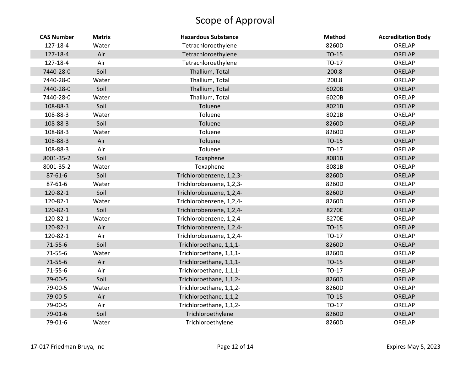| <b>CAS Number</b> | <b>Matrix</b> | <b>Hazardous Substance</b> | <b>Method</b> | <b>Accreditation Body</b> |
|-------------------|---------------|----------------------------|---------------|---------------------------|
| 127-18-4          | Water         | Tetrachloroethylene        | 8260D         | ORELAP                    |
| 127-18-4          | Air           | Tetrachloroethylene        | TO-15         | ORELAP                    |
| 127-18-4          | Air           | Tetrachloroethylene        | TO-17         | ORELAP                    |
| 7440-28-0         | Soil          | Thallium, Total            | 200.8         | ORELAP                    |
| 7440-28-0         | Water         | Thallium, Total            | 200.8         | ORELAP                    |
| 7440-28-0         | Soil          | Thallium, Total            | 6020B         | ORELAP                    |
| 7440-28-0         | Water         | Thallium, Total            | 6020B         | ORELAP                    |
| 108-88-3          | Soil          | Toluene                    | 8021B         | ORELAP                    |
| 108-88-3          | Water         | Toluene                    | 8021B         | ORELAP                    |
| 108-88-3          | Soil          | Toluene                    | 8260D         | ORELAP                    |
| 108-88-3          | Water         | Toluene                    | 8260D         | ORELAP                    |
| 108-88-3          | Air           | Toluene                    | TO-15         | ORELAP                    |
| 108-88-3          | Air           | Toluene                    | TO-17         | ORELAP                    |
| 8001-35-2         | Soil          | Toxaphene                  | 8081B         | ORELAP                    |
| 8001-35-2         | Water         | Toxaphene                  | 8081B         | ORELAP                    |
| 87-61-6           | Soil          | Trichlorobenzene, 1,2,3-   | 8260D         | ORELAP                    |
| $87 - 61 - 6$     | Water         | Trichlorobenzene, 1,2,3-   | 8260D         | ORELAP                    |
| 120-82-1          | Soil          | Trichlorobenzene, 1,2,4-   | 8260D         | ORELAP                    |
| 120-82-1          | Water         | Trichlorobenzene, 1,2,4-   | 8260D         | ORELAP                    |
| 120-82-1          | Soil          | Trichlorobenzene, 1,2,4-   | 8270E         | ORELAP                    |
| 120-82-1          | Water         | Trichlorobenzene, 1,2,4-   | 8270E         | ORELAP                    |
| 120-82-1          | Air           | Trichlorobenzene, 1,2,4-   | TO-15         | ORELAP                    |
| 120-82-1          | Air           | Trichlorobenzene, 1,2,4-   | TO-17         | ORELAP                    |
| $71 - 55 - 6$     | Soil          | Trichloroethane, 1,1,1-    | 8260D         | ORELAP                    |
| 71-55-6           | Water         | Trichloroethane, 1,1,1-    | 8260D         | ORELAP                    |
| $71 - 55 - 6$     | Air           | Trichloroethane, 1,1,1-    | $TO-15$       | ORELAP                    |
| 71-55-6           | Air           | Trichloroethane, 1,1,1-    | TO-17         | ORELAP                    |
| 79-00-5           | Soil          | Trichloroethane, 1,1,2-    | 8260D         | ORELAP                    |
| 79-00-5           | Water         | Trichloroethane, 1,1,2-    | 8260D         | ORELAP                    |
| 79-00-5           | Air           | Trichloroethane, 1,1,2-    | $TO-15$       | ORELAP                    |
| 79-00-5           | Air           | Trichloroethane, 1,1,2-    | TO-17         | ORELAP                    |
| 79-01-6           | Soil          | Trichloroethylene          | 8260D         | ORELAP                    |
| 79-01-6           | Water         | Trichloroethylene          | 8260D         | ORELAP                    |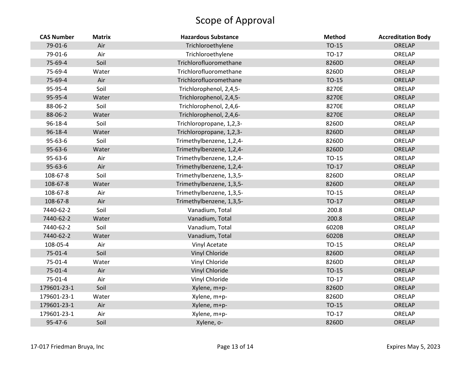| <b>CAS Number</b> | <b>Matrix</b> | <b>Hazardous Substance</b> | <b>Method</b> | <b>Accreditation Body</b> |
|-------------------|---------------|----------------------------|---------------|---------------------------|
| 79-01-6           | Air           | Trichloroethylene          | TO-15         | ORELAP                    |
| 79-01-6           | Air           | Trichloroethylene          | TO-17         | ORELAP                    |
| 75-69-4           | Soil          | Trichlorofluoromethane     | 8260D         | ORELAP                    |
| 75-69-4           | Water         | Trichlorofluoromethane     | 8260D         | ORELAP                    |
| 75-69-4           | Air           | Trichlorofluoromethane     | TO-15         | ORELAP                    |
| 95-95-4           | Soil          | Trichlorophenol, 2,4,5-    | 8270E         | ORELAP                    |
| 95-95-4           | Water         | Trichlorophenol, 2,4,5-    | 8270E         | ORELAP                    |
| 88-06-2           | Soil          | Trichlorophenol, 2,4,6-    | 8270E         | ORELAP                    |
| 88-06-2           | Water         | Trichlorophenol, 2,4,6-    | 8270E         | ORELAP                    |
| 96-18-4           | Soil          | Trichloropropane, 1,2,3-   | 8260D         | ORELAP                    |
| 96-18-4           | Water         | Trichloropropane, 1,2,3-   | 8260D         | ORELAP                    |
| 95-63-6           | Soil          | Trimethylbenzene, 1,2,4-   | 8260D         | ORELAP                    |
| $95 - 63 - 6$     | Water         | Trimethylbenzene, 1,2,4-   | 8260D         | ORELAP                    |
| 95-63-6           | Air           | Trimethylbenzene, 1,2,4-   | TO-15         | ORELAP                    |
| 95-63-6           | Air           | Trimethylbenzene, 1,2,4-   | TO-17         | ORELAP                    |
| 108-67-8          | Soil          | Trimethylbenzene, 1,3,5-   | 8260D         | ORELAP                    |
| 108-67-8          | Water         | Trimethylbenzene, 1,3,5-   | 8260D         | ORELAP                    |
| 108-67-8          | Air           | Trimethylbenzene, 1,3,5-   | TO-15         | ORELAP                    |
| 108-67-8          | Air           | Trimethylbenzene, 1,3,5-   | TO-17         | ORELAP                    |
| 7440-62-2         | Soil          | Vanadium, Total            | 200.8         | ORELAP                    |
| 7440-62-2         | Water         | Vanadium, Total            | 200.8         | ORELAP                    |
| 7440-62-2         | Soil          | Vanadium, Total            | 6020B         | ORELAP                    |
| 7440-62-2         | Water         | Vanadium, Total            | 6020B         | ORELAP                    |
| 108-05-4          | Air           | Vinyl Acetate              | TO-15         | ORELAP                    |
| 75-01-4           | Soil          | Vinyl Chloride             | 8260D         | ORELAP                    |
| 75-01-4           | Water         | Vinyl Chloride             | 8260D         | ORELAP                    |
| $75-01-4$         | Air           | Vinyl Chloride             | TO-15         | ORELAP                    |
| 75-01-4           | Air           | Vinyl Chloride             | TO-17         | ORELAP                    |
| 179601-23-1       | Soil          | Xylene, m+p-               | 8260D         | ORELAP                    |
| 179601-23-1       | Water         | Xylene, m+p-               | 8260D         | ORELAP                    |
| 179601-23-1       | Air           | Xylene, m+p-               | TO-15         | ORELAP                    |
| 179601-23-1       | Air           | Xylene, m+p-               | TO-17         | ORELAP                    |
| 95-47-6           | Soil          | Xylene, o-                 | 8260D         | <b>ORELAP</b>             |